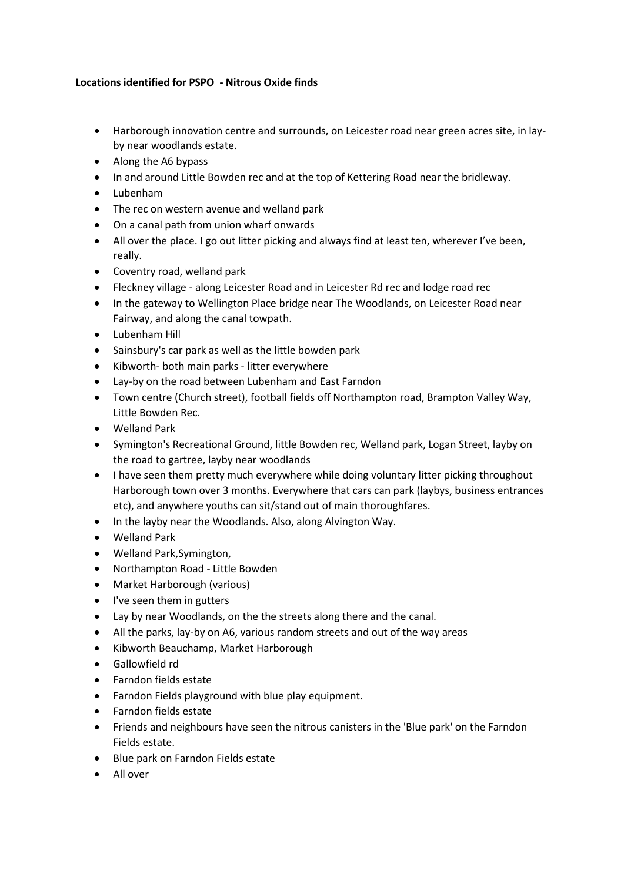## **Locations identified for PSPO - Nitrous Oxide finds**

- Harborough innovation centre and surrounds, on Leicester road near green acres site, in layby near woodlands estate.
- Along the A6 bypass
- In and around Little Bowden rec and at the top of Kettering Road near the bridleway.
- Lubenham
- The rec on western avenue and welland park
- On a canal path from union wharf onwards
- All over the place. I go out litter picking and always find at least ten, wherever I've been, really.
- Coventry road, welland park
- Fleckney village along Leicester Road and in Leicester Rd rec and lodge road rec
- In the gateway to Wellington Place bridge near The Woodlands, on Leicester Road near Fairway, and along the canal towpath.
- Lubenham Hill
- Sainsbury's car park as well as the little bowden park
- Kibworth- both main parks litter everywhere
- Lay-by on the road between Lubenham and East Farndon
- Town centre (Church street), football fields off Northampton road, Brampton Valley Way, Little Bowden Rec.
- Welland Park
- Symington's Recreational Ground, little Bowden rec, Welland park, Logan Street, layby on the road to gartree, layby near woodlands
- I have seen them pretty much everywhere while doing voluntary litter picking throughout Harborough town over 3 months. Everywhere that cars can park (laybys, business entrances etc), and anywhere youths can sit/stand out of main thoroughfares.
- In the layby near the Woodlands. Also, along Alvington Way.
- Welland Park
- Welland Park,Symington,
- Northampton Road Little Bowden
- Market Harborough (various)
- I've seen them in gutters
- Lay by near Woodlands, on the the streets along there and the canal.
- All the parks, lay-by on A6, various random streets and out of the way areas
- Kibworth Beauchamp, Market Harborough
- Gallowfield rd
- Farndon fields estate
- Farndon Fields playground with blue play equipment.
- Farndon fields estate
- Friends and neighbours have seen the nitrous canisters in the 'Blue park' on the Farndon Fields estate.
- Blue park on Farndon Fields estate
- All over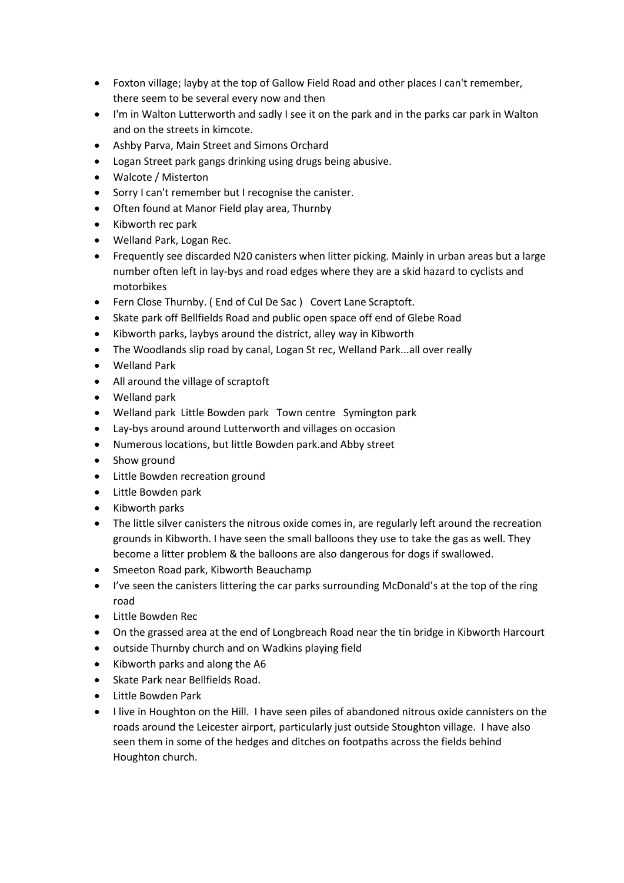- Foxton village; layby at the top of Gallow Field Road and other places I can't remember, there seem to be several every now and then
- I'm in Walton Lutterworth and sadly I see it on the park and in the parks car park in Walton and on the streets in kimcote.
- Ashby Parva, Main Street and Simons Orchard
- Logan Street park gangs drinking using drugs being abusive.
- Walcote / Misterton
- Sorry I can't remember but I recognise the canister.
- Often found at Manor Field play area, Thurnby
- Kibworth rec park
- Welland Park, Logan Rec.
- Frequently see discarded N20 canisters when litter picking. Mainly in urban areas but a large number often left in lay-bys and road edges where they are a skid hazard to cyclists and motorbikes
- Fern Close Thurnby. ( End of Cul De Sac ) Covert Lane Scraptoft.
- Skate park off Bellfields Road and public open space off end of Glebe Road
- Kibworth parks, laybys around the district, alley way in Kibworth
- The Woodlands slip road by canal, Logan St rec, Welland Park...all over really
- Welland Park
- All around the village of scraptoft
- Welland park
- Welland park Little Bowden park Town centre Symington park
- Lay-bys around around Lutterworth and villages on occasion
- Numerous locations, but little Bowden park.and Abby street
- Show ground
- Little Bowden recreation ground
- Little Bowden park
- Kibworth parks
- The little silver canisters the nitrous oxide comes in, are regularly left around the recreation grounds in Kibworth. I have seen the small balloons they use to take the gas as well. They become a litter problem & the balloons are also dangerous for dogs if swallowed.
- Smeeton Road park, Kibworth Beauchamp
- I've seen the canisters littering the car parks surrounding McDonald's at the top of the ring road
- Little Bowden Rec
- On the grassed area at the end of Longbreach Road near the tin bridge in Kibworth Harcourt
- outside Thurnby church and on Wadkins playing field
- Kibworth parks and along the A6
- Skate Park near Bellfields Road.
- Little Bowden Park
- I live in Houghton on the Hill. I have seen piles of abandoned nitrous oxide cannisters on the roads around the Leicester airport, particularly just outside Stoughton village. I have also seen them in some of the hedges and ditches on footpaths across the fields behind Houghton church.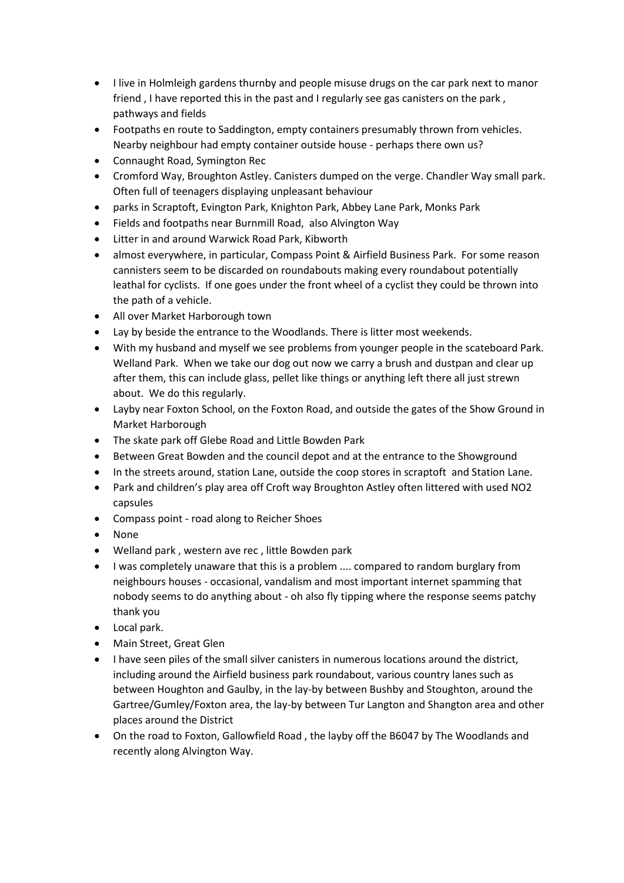- I live in Holmleigh gardens thurnby and people misuse drugs on the car park next to manor friend , I have reported this in the past and I regularly see gas canisters on the park , pathways and fields
- Footpaths en route to Saddington, empty containers presumably thrown from vehicles. Nearby neighbour had empty container outside house - perhaps there own us?
- Connaught Road, Symington Rec
- Cromford Way, Broughton Astley. Canisters dumped on the verge. Chandler Way small park. Often full of teenagers displaying unpleasant behaviour
- parks in Scraptoft, Evington Park, Knighton Park, Abbey Lane Park, Monks Park
- Fields and footpaths near Burnmill Road, also Alvington Way
- Litter in and around Warwick Road Park, Kibworth
- almost everywhere, in particular, Compass Point & Airfield Business Park. For some reason cannisters seem to be discarded on roundabouts making every roundabout potentially leathal for cyclists. If one goes under the front wheel of a cyclist they could be thrown into the path of a vehicle.
- All over Market Harborough town
- Lay by beside the entrance to the Woodlands. There is litter most weekends.
- With my husband and myself we see problems from younger people in the scateboard Park. Welland Park. When we take our dog out now we carry a brush and dustpan and clear up after them, this can include glass, pellet like things or anything left there all just strewn about. We do this regularly.
- Layby near Foxton School, on the Foxton Road, and outside the gates of the Show Ground in Market Harborough
- The skate park off Glebe Road and Little Bowden Park
- Between Great Bowden and the council depot and at the entrance to the Showground
- In the streets around, station Lane, outside the coop stores in scraptoft and Station Lane.
- Park and children's play area off Croft way Broughton Astley often littered with used NO2 capsules
- Compass point road along to Reicher Shoes
- None
- Welland park , western ave rec , little Bowden park
- I was completely unaware that this is a problem .... compared to random burglary from neighbours houses - occasional, vandalism and most important internet spamming that nobody seems to do anything about - oh also fly tipping where the response seems patchy thank you
- Local park.
- Main Street, Great Glen
- I have seen piles of the small silver canisters in numerous locations around the district, including around the Airfield business park roundabout, various country lanes such as between Houghton and Gaulby, in the lay-by between Bushby and Stoughton, around the Gartree/Gumley/Foxton area, the lay-by between Tur Langton and Shangton area and other places around the District
- On the road to Foxton, Gallowfield Road , the layby off the B6047 by The Woodlands and recently along Alvington Way.